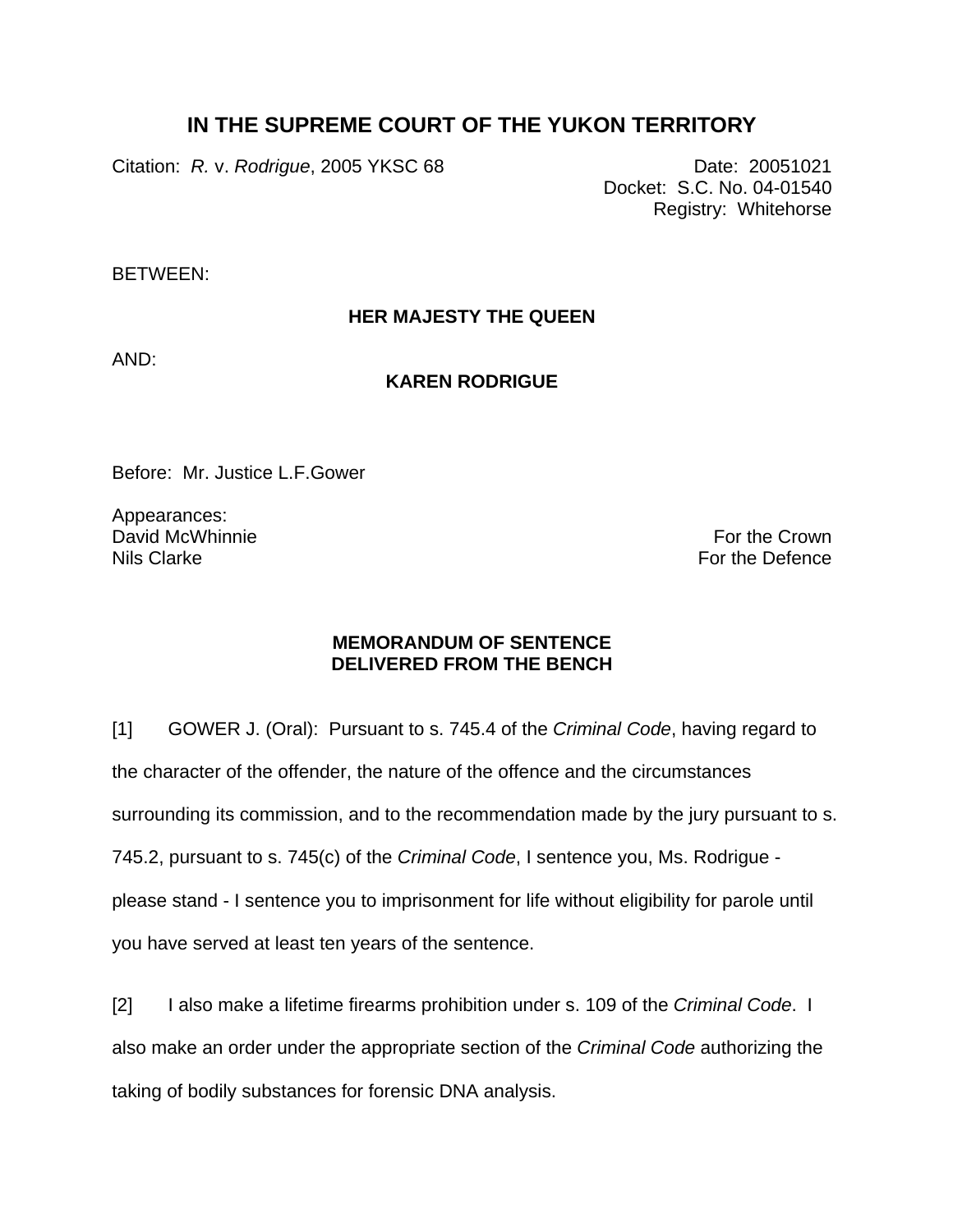## **IN THE SUPREME COURT OF THE YUKON TERRITORY**

Citation: *R. v. Rodrigue*, 2005 YKSC 68 Date: 20051021

Docket: S.C. No. 04-01540 Registry: Whitehorse

BETWEEN:

## **HER MAJESTY THE QUEEN**

AND:

## **KAREN RODRIGUE**

Before: Mr. Justice L.F.Gower

Appearances: David McWhinnie Nils Clarke

For the Crown For the Defence

## **MEMORANDUM OF SENTENCE DELIVERED FROM THE BENCH**

[1] GOWER J. (Oral): Pursuant to s. 745.4 of the *Criminal Code*, having regard to the character of the offender, the nature of the offence and the circumstances surrounding its commission, and to the recommendation made by the jury pursuant to s. 745.2, pursuant to s. 745(c) of the *Criminal Code*, I sentence you, Ms. Rodrigue please stand - I sentence you to imprisonment for life without eligibility for parole until you have served at least ten years of the sentence.

[2] I also make a lifetime firearms prohibition under s. 109 of the *Criminal Code*. I also make an order under the appropriate section of the *Criminal Code* authorizing the taking of bodily substances for forensic DNA analysis.